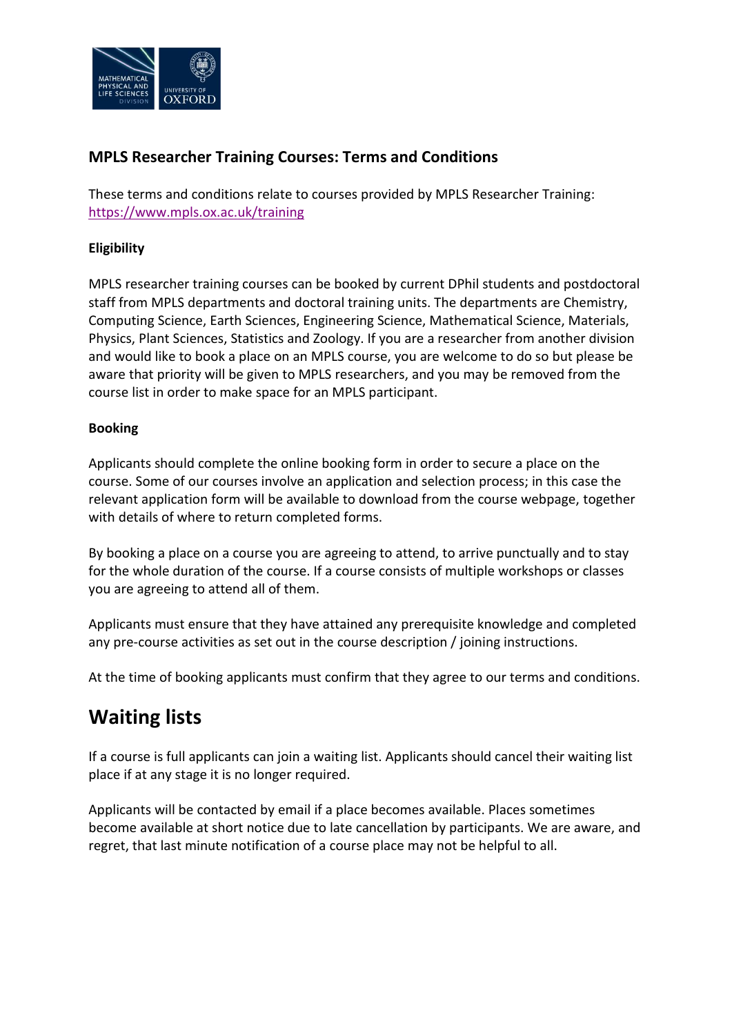

### **MPLS Researcher Training Courses: Terms and Conditions**

These terms and conditions relate to courses provided by MPLS Researcher Training: <https://www.mpls.ox.ac.uk/training>

#### **Eligibility**

MPLS researcher training courses can be booked by current DPhil students and postdoctoral staff from MPLS departments and doctoral training units. The departments are Chemistry, Computing Science, Earth Sciences, Engineering Science, Mathematical Science, Materials, Physics, Plant Sciences, Statistics and Zoology. If you are a researcher from another division and would like to book a place on an MPLS course, you are welcome to do so but please be aware that priority will be given to MPLS researchers, and you may be removed from the course list in order to make space for an MPLS participant.

#### **Booking**

Applicants should complete the online booking form in order to secure a place on the course. Some of our courses involve an application and selection process; in this case the relevant application form will be available to download from the course webpage, together with details of where to return completed forms.

By booking a place on a course you are agreeing to attend, to arrive punctually and to stay for the whole duration of the course. If a course consists of multiple workshops or classes you are agreeing to attend all of them.

Applicants must ensure that they have attained any prerequisite knowledge and completed any pre-course activities as set out in the course description / joining instructions.

At the time of booking applicants must confirm that they agree to our terms and conditions.

# **Waiting lists**

If a course is full applicants can join a waiting list. Applicants should cancel their waiting list place if at any stage it is no longer required.

Applicants will be contacted by email if a place becomes available. Places sometimes become available at short notice due to late cancellation by participants. We are aware, and regret, that last minute notification of a course place may not be helpful to all.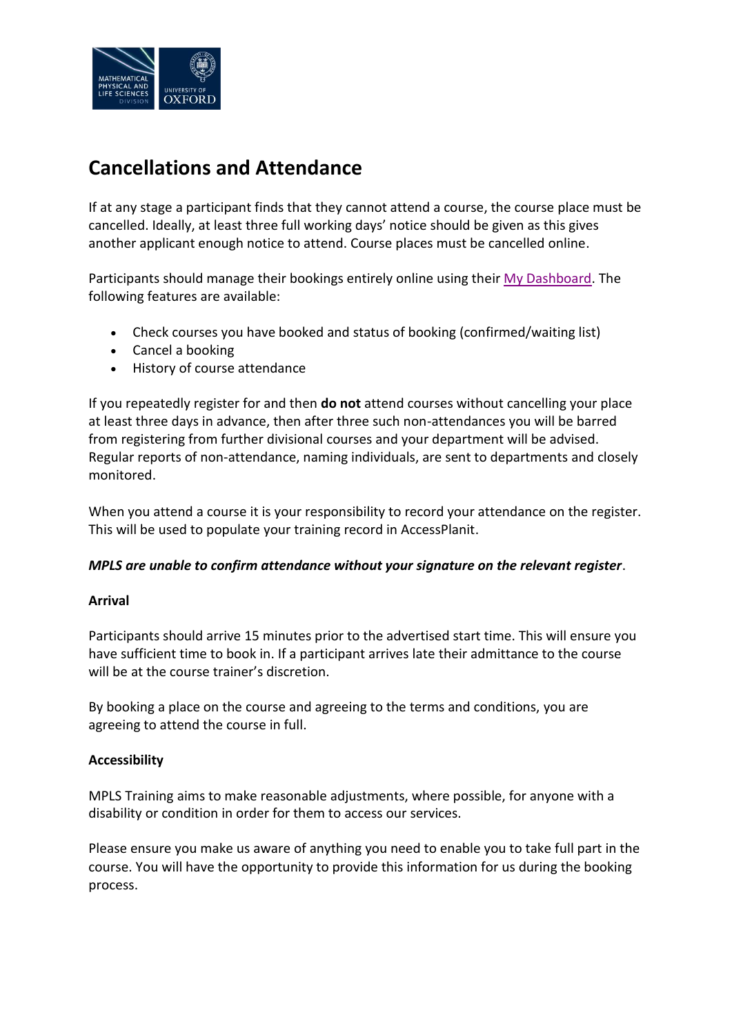

## **Cancellations and Attendance**

If at any stage a participant finds that they cannot attend a course, the course place must be cancelled. Ideally, at least three full working days' notice should be given as this gives another applicant enough notice to attend. Course places must be cancelled online.

Participants should manage their bookings entirely online using thei[r My Dashboard.](http://help.it.ox.ac.uk/courses/booking/mydashboard) The following features are available:

- Check courses you have booked and status of booking (confirmed/waiting list)
- Cancel a booking
- History of course attendance

If you repeatedly register for and then **do not** attend courses without cancelling your place at least three days in advance, then after three such non-attendances you will be barred from registering from further divisional courses and your department will be advised. Regular reports of non-attendance, naming individuals, are sent to departments and closely monitored.

When you attend a course it is your responsibility to record your attendance on the register. This will be used to populate your training record in AccessPlanit.

#### *MPLS are unable to confirm attendance without your signature on the relevant register*.

#### **Arrival**

Participants should arrive 15 minutes prior to the advertised start time. This will ensure you have sufficient time to book in. If a participant arrives late their admittance to the course will be at the course trainer's discretion.

By booking a place on the course and agreeing to the terms and conditions, you are agreeing to attend the course in full.

#### **Accessibility**

MPLS Training aims to make reasonable adjustments, where possible, for anyone with a disability or condition in order for them to access our services.

Please ensure you make us aware of anything you need to enable you to take full part in the course. You will have the opportunity to provide this information for us during the booking process.